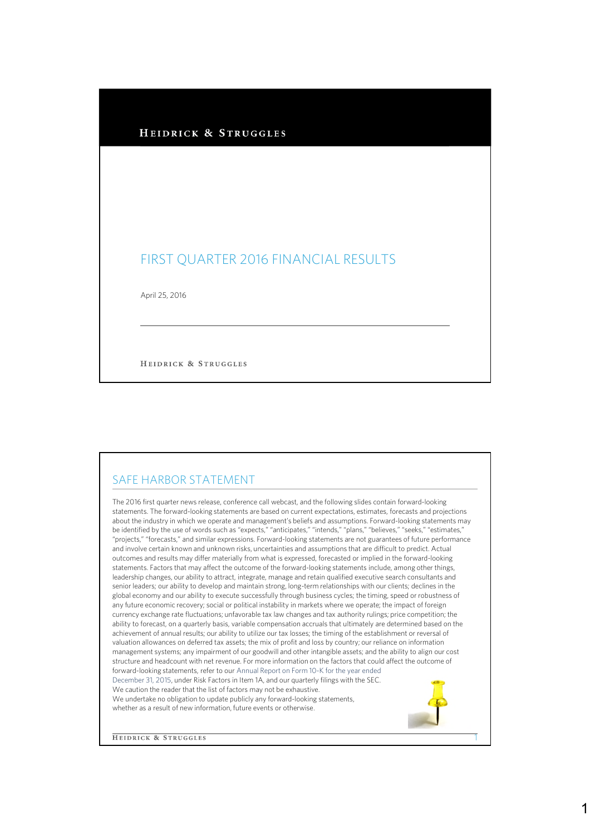| FIRST QUARTER 2016 FINANCIAL RESULTS |  |
|--------------------------------------|--|

HEIDRICK & STRUGGLES

## SAFE HARBOR STATEMENT

The 2016 first quarter news release, conference call webcast, and the following slides contain forward-looking statements. The forward-looking statements are based on current expectations, estimates, forecasts and projections about the industry in which we operate and management's beliefs and assumptions. Forward-looking statements may be identified by the use of words such as "expects," "anticipates," "intends," "plans," "believes," "seeks," "estimates," "projects," "forecasts," and similar expressions. Forward-looking statements are not guarantees of future performance and involve certain known and unknown risks, uncertainties and assumptions that are difficult to predict. Actual outcomes and results may differ materially from what is expressed, forecasted or implied in the forward-looking statements. Factors that may affect the outcome of the forward-looking statements include, among other things, leadership changes, our ability to attract, integrate, manage and retain qualified executive search consultants and senior leaders; our ability to develop and maintain strong, long-term relationships with our clients; declines in the global economy and our ability to execute successfully through business cycles; the timing, speed or robustness of any future economic recovery; social or political instability in markets where we operate; the impact of foreign currency exchange rate fluctuations; unfavorable tax law changes and tax authority rulings; price competition; the ability to forecast, on a quarterly basis, variable compensation accruals that ultimately are determined based on the achievement of annual results; our ability to utilize our tax losses; the timing of the establishment or reversal of valuation allowances on deferred tax assets; the mix of profit and loss by country; our reliance on information management systems; any impairment of our goodwill and other intangible assets; and the ability to align our cost structure and headcount with net revenue. For more information on the factors that could affect the outcome of forward-looking statements, refer to our Annual Report on Form 10-K for the year ended December 31, 2015, under Risk Factors in Item 1A, and our quarterly filings with the SEC. We caution the reader that the list of factors may not be exhaustive. We undertake no obligation to update publicly any forward-looking statements, whether as a result of new information, future events or otherwise.

**HEIDRICK & STRUGGLES** 

1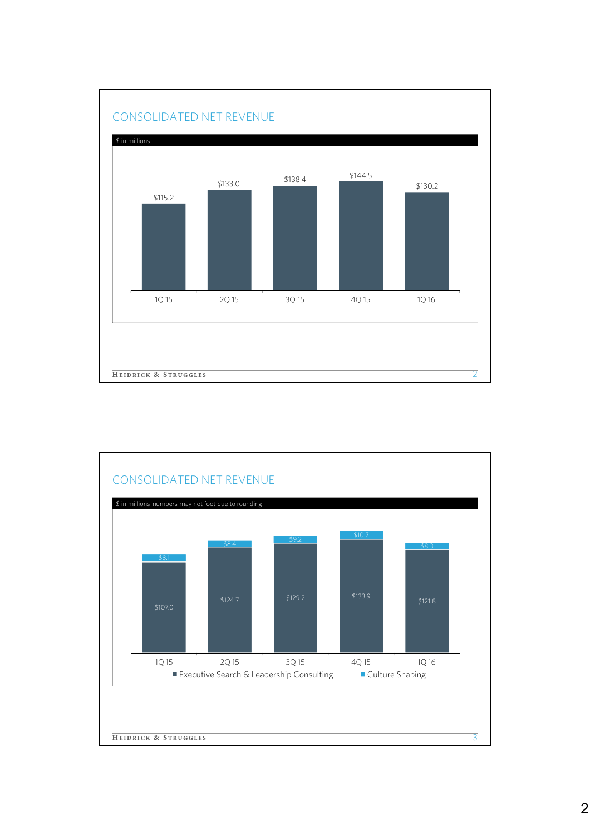

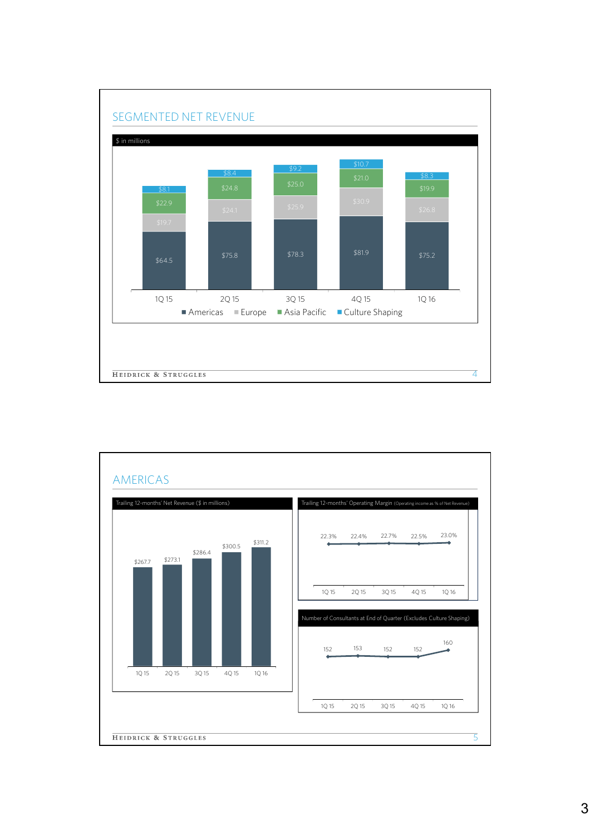

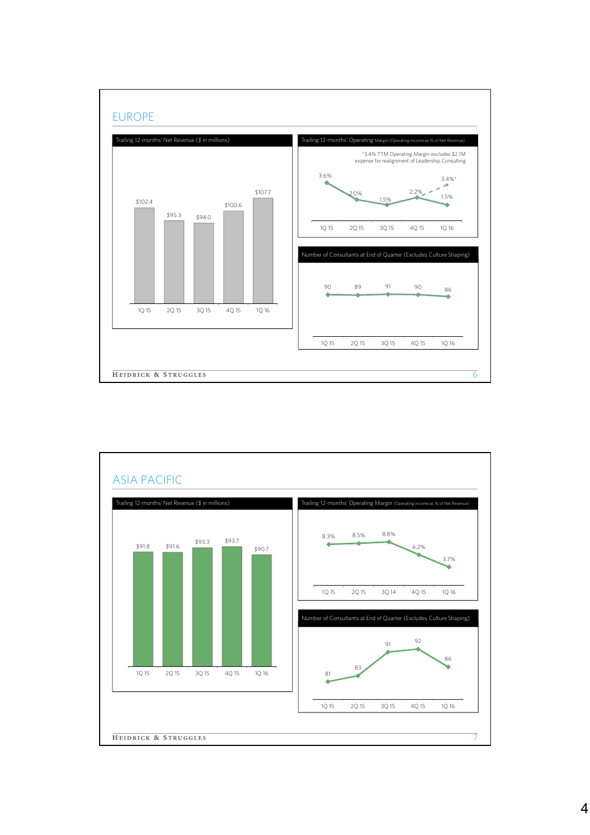

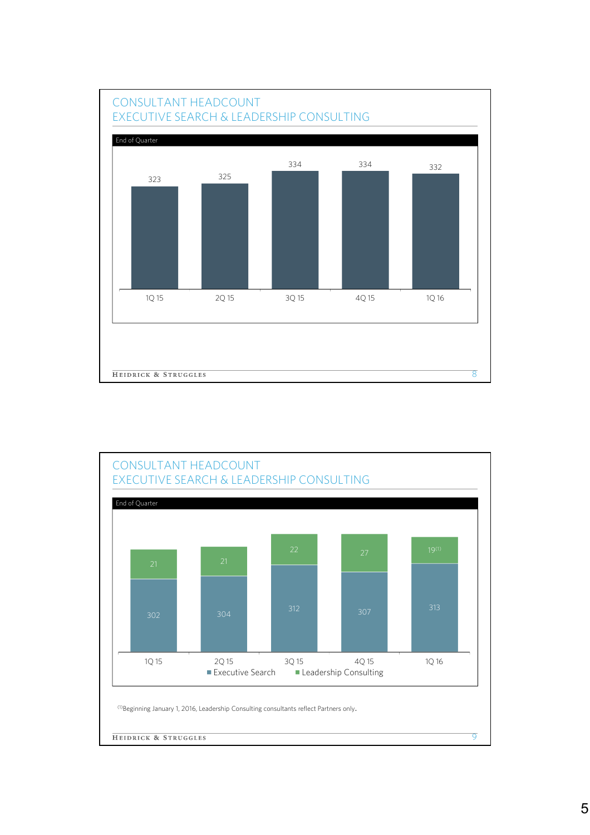

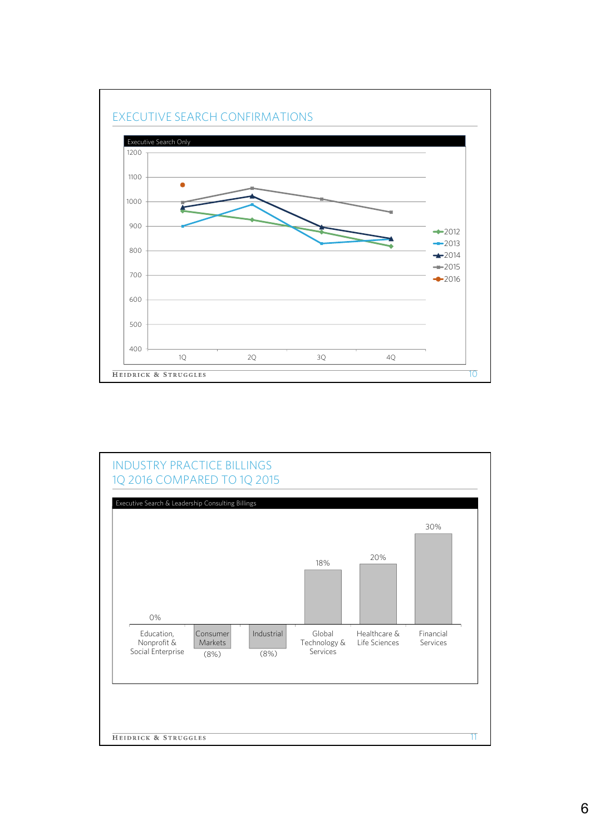

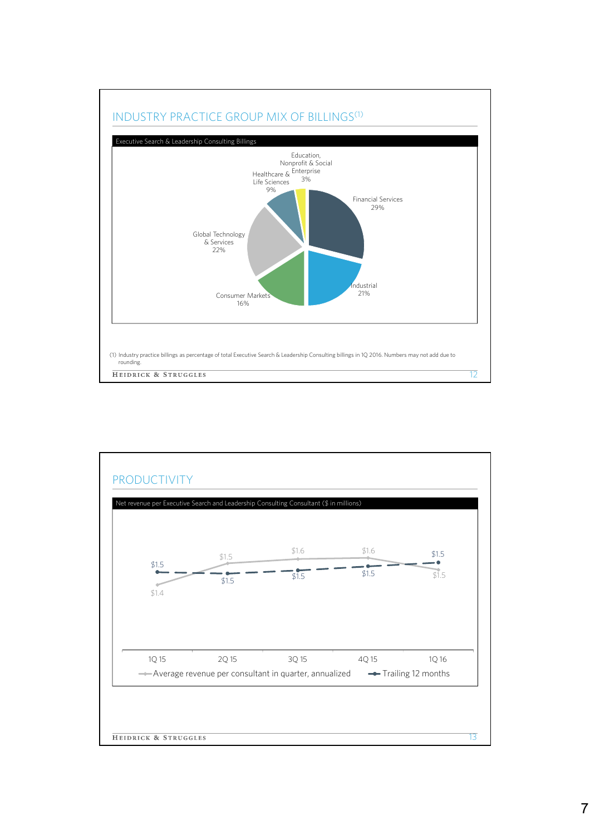

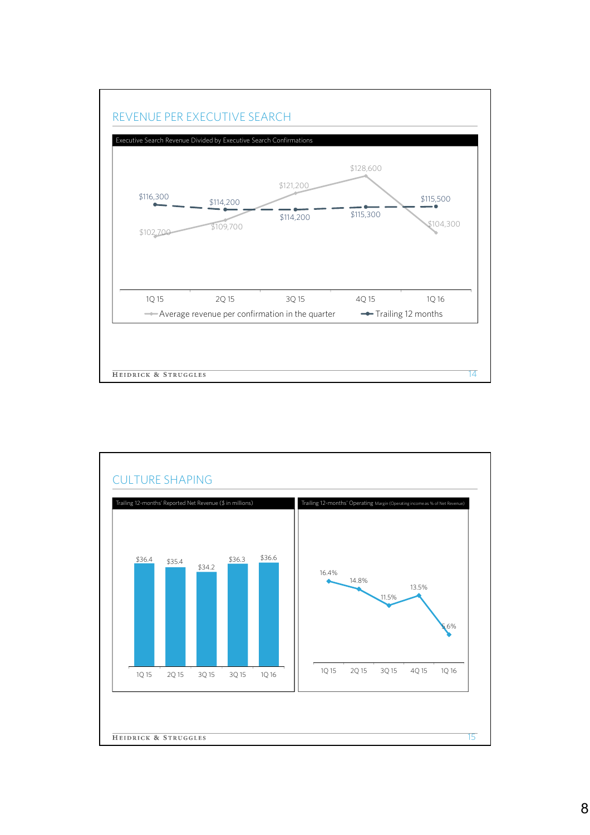

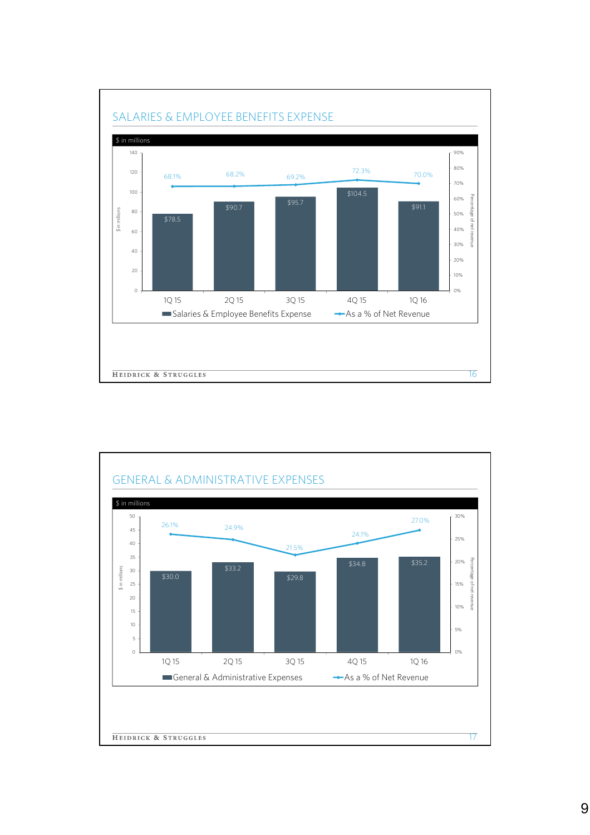

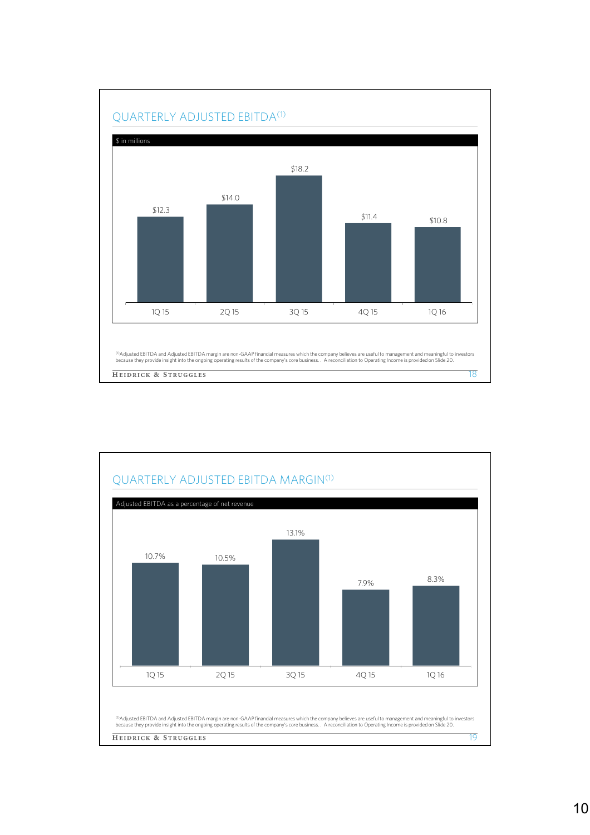

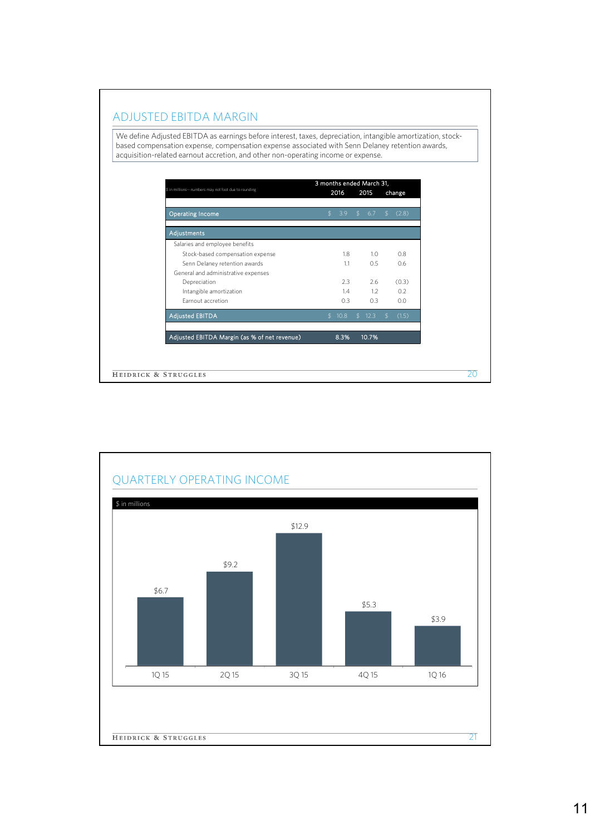## ADJUSTED EBITDA MARGIN

We define Adjusted EBITDA as earnings before interest, taxes, depreciation, intangible amortization, stockbased compensation expense, compensation expense associated with Senn Delaney retention awards, acquisition-related earnout accretion, and other non-operating income or expense.

| \$ in millions -- numbers may not foot due to rounding | 3 months ended March 31,<br>2016 |               | 2015  |               | change |
|--------------------------------------------------------|----------------------------------|---------------|-------|---------------|--------|
| <b>Operating Income</b>                                | \$<br>3.9                        | $\mathcal{L}$ | 6.7   | $\mathcal{L}$ | (2.8)  |
| Adjustments                                            |                                  |               |       |               |        |
| Salaries and employee benefits                         |                                  |               |       |               |        |
| Stock-based compensation expense                       | 1.8                              |               | 1.0   |               | 0.8    |
| Senn Delaney retention awards                          | 1.1                              |               | 0.5   |               | 0.6    |
| General and administrative expenses                    |                                  |               |       |               |        |
| Depreciation                                           | 2.3                              |               | 2.6   |               | (0.3)  |
| Intangible amortization                                | 1.4                              |               | 1.2   |               | 0.2    |
| Earnout accretion                                      | 0.3                              |               | 0.3   |               | 0.0    |
| <b>Adjusted EBITDA</b>                                 | \$10.8                           | . የ           | 12.3  | \$.           | (1.5)  |
| Adjusted EBITDA Margin (as % of net revenue)           | 8.3%                             |               | 10.7% |               |        |

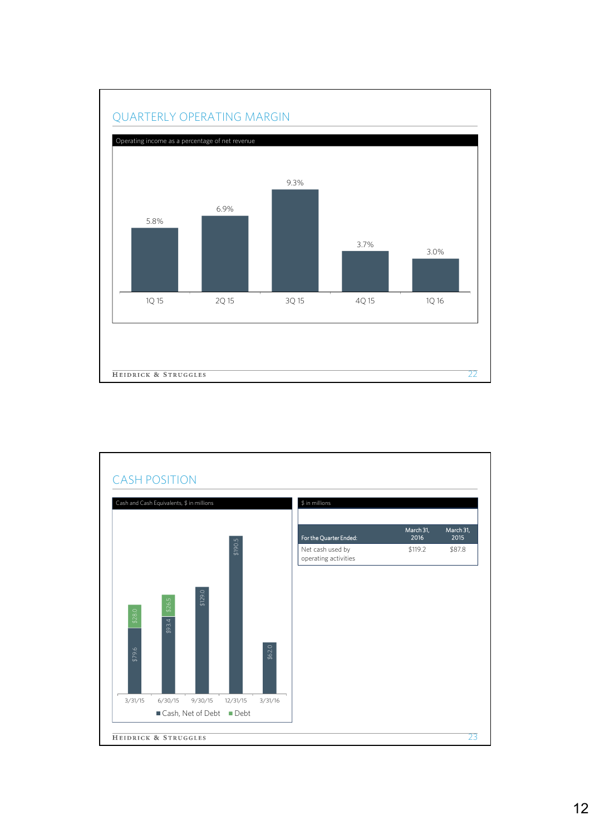

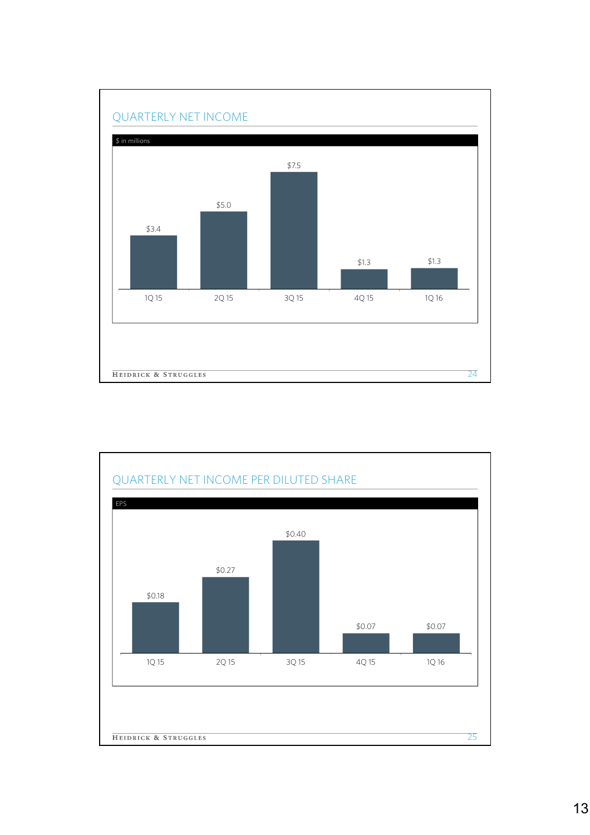

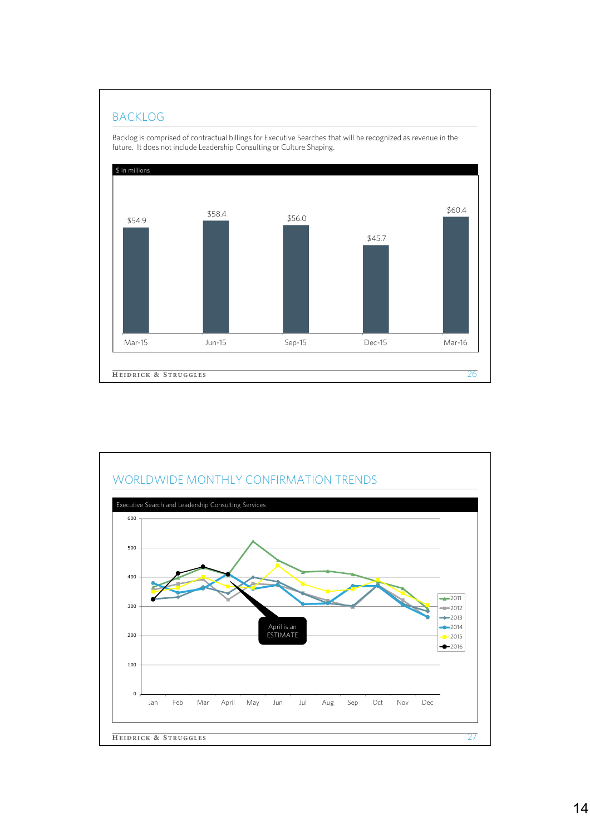